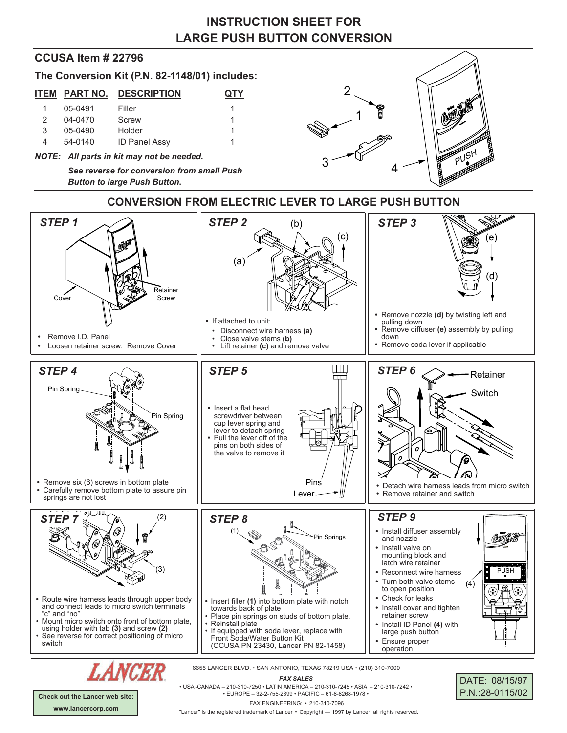# **INSTRUCTION SHEET FOR LARGE PUSH BUTTON CONVERSION**

### **CCUSA Item # 22796**

**The Conversion Kit (P.N. 82-1148/01) includes:**

|         | <b>ITEM PART NO. DESCRIPTION</b> | <b>QTY</b> |
|---------|----------------------------------|------------|
| 05-0491 | Filler                           |            |
| 04-0470 | Screw                            |            |

| $\epsilon$ | <u> v T v T v</u> | <b>UULUV</b>         |  |
|------------|-------------------|----------------------|--|
| -3         | 05-0490           | Holder               |  |
|            | 54-0140           | <b>ID Panel Assy</b> |  |

*NOTE: All parts in kit may not be needed.*

*See reverse for conversion from small Push Button to large Push Button***.**



### **CONVERSION FROM ELECTRIC LEVER TO LARGE PUSH BUTTON**



*FAX SALES*

• USA -CANADA – 210-310-7250 • LATIN AMERICA – 210-310-7245 • ASIA – 210-310-7242 • • EUROPE – 32-2-755-2399 • PACIFIC – 61-8-8268-1978 • FAX ENGINEERING: • 210-310-7096

| DATE: 08/15/97  |
|-----------------|
| P.N.:28-0115/02 |

**Check out the Lancer web site: www.lancercorp.com**

"Lancer" is the registered trademark of Lancer • Copyright - 1997 by Lancer, all rights reserved.